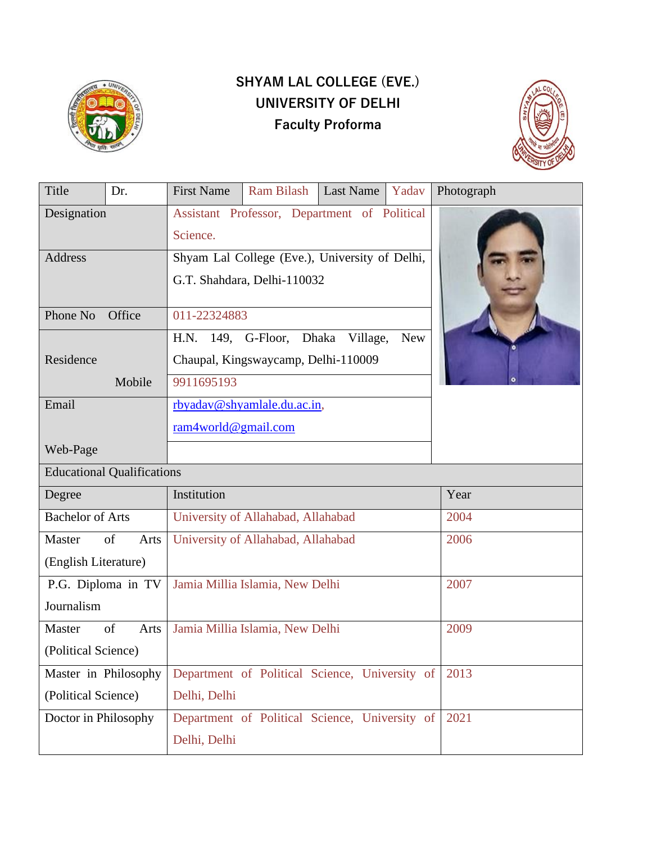

# **SHYAM LAL COLLEGE (EVE.) UNIVERSITY OF DELHI Faculty Proforma**



| Title                             | Dr.        | <b>First Name</b>                               | Ram Bilash                                     | <b>Last Name</b> | Yadav | Photograph |
|-----------------------------------|------------|-------------------------------------------------|------------------------------------------------|------------------|-------|------------|
| Designation                       |            | Assistant Professor, Department of Political    |                                                |                  |       |            |
|                                   |            | Science.                                        |                                                |                  |       |            |
| Address                           |            | Shyam Lal College (Eve.), University of Delhi,  |                                                |                  |       |            |
|                                   |            | G.T. Shahdara, Delhi-110032                     |                                                |                  |       |            |
| Phone No<br>Office                |            | 011-22324883                                    |                                                |                  |       |            |
|                                   |            | H.N. 149, G-Floor, Dhaka Village,<br><b>New</b> |                                                |                  |       |            |
| Residence                         |            | Chaupal, Kingswaycamp, Delhi-110009             |                                                |                  |       |            |
| Mobile                            |            | 9911695193                                      |                                                |                  |       |            |
| Email                             |            | rbyadav@shyamlale.du.ac.in,                     |                                                |                  |       |            |
|                                   |            | ram4world@gmail.com                             |                                                |                  |       |            |
| Web-Page                          |            |                                                 |                                                |                  |       |            |
| <b>Educational Qualifications</b> |            |                                                 |                                                |                  |       |            |
| Degree                            |            | Institution                                     |                                                |                  | Year  |            |
| <b>Bachelor of Arts</b>           |            | University of Allahabad, Allahabad              |                                                |                  | 2004  |            |
| Master<br>of<br>Arts              |            | University of Allahabad, Allahabad              |                                                |                  | 2006  |            |
| (English Literature)              |            |                                                 |                                                |                  |       |            |
| P.G. Diploma in TV                |            | Jamia Millia Islamia, New Delhi                 |                                                |                  | 2007  |            |
| Journalism                        |            |                                                 |                                                |                  |       |            |
| Master                            | of<br>Arts |                                                 | Jamia Millia Islamia, New Delhi                |                  |       | 2009       |
| (Political Science)               |            |                                                 |                                                |                  |       |            |
| Master in Philosophy              |            |                                                 | Department of Political Science, University of |                  |       | 2013       |
| (Political Science)               |            | Delhi, Delhi                                    |                                                |                  |       |            |
| Doctor in Philosophy              |            |                                                 | Department of Political Science, University of |                  |       | 2021       |
|                                   |            | Delhi, Delhi                                    |                                                |                  |       |            |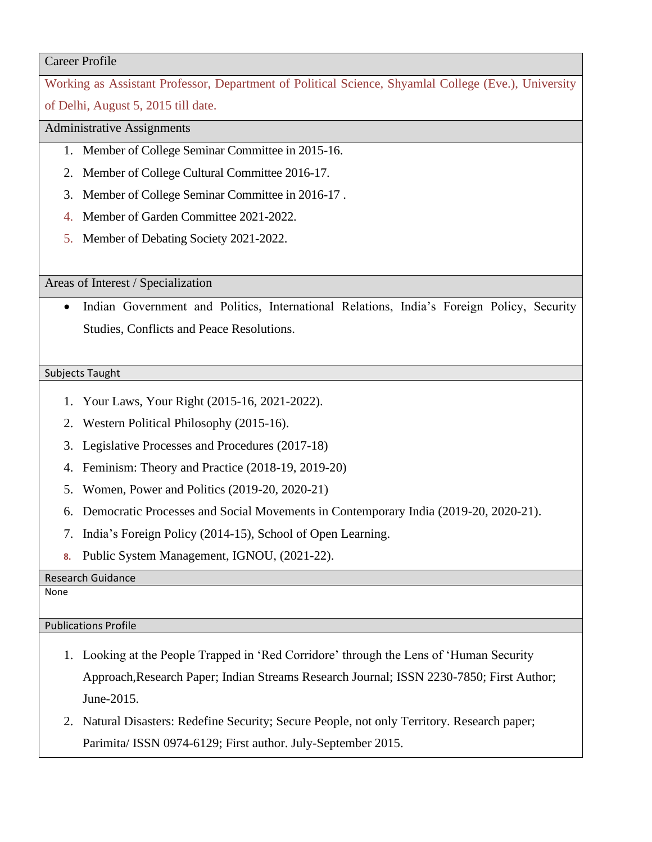#### Career Profile

Working as Assistant Professor, Department of Political Science, Shyamlal College (Eve.), University of Delhi, August 5, 2015 till date.

Administrative Assignments

- 1. Member of College Seminar Committee in 2015-16.
- 2. Member of College Cultural Committee 2016-17.
- 3. Member of College Seminar Committee in 2016-17 .
- 4. Member of Garden Committee 2021-2022.
- 5. Member of Debating Society 2021-2022.

Areas of Interest / Specialization

• Indian Government and Politics, International Relations, India's Foreign Policy, Security Studies, Conflicts and Peace Resolutions.

#### Subjects Taught

- 1. Your Laws, Your Right (2015-16, 2021-2022).
- 2. Western Political Philosophy (2015-16).
- 3. Legislative Processes and Procedures (2017-18)
- 4. Feminism: Theory and Practice (2018-19, 2019-20)
- 5. Women, Power and Politics (2019-20, 2020-21)
- 6. Democratic Processes and Social Movements in Contemporary India (2019-20, 2020-21).
- 7. India's Foreign Policy (2014-15), School of Open Learning.
- **8.** Public System Management, IGNOU, (2021-22).

Research Guidance

None

### Publications Profile

- 1. Looking at the People Trapped in 'Red Corridore' through the Lens of 'Human Security Approach,Research Paper; Indian Streams Research Journal; ISSN 2230-7850; First Author; June-2015.
- 2. Natural Disasters: Redefine Security; Secure People, not only Territory. Research paper; Parimita/ ISSN 0974-6129; First author. July-September 2015.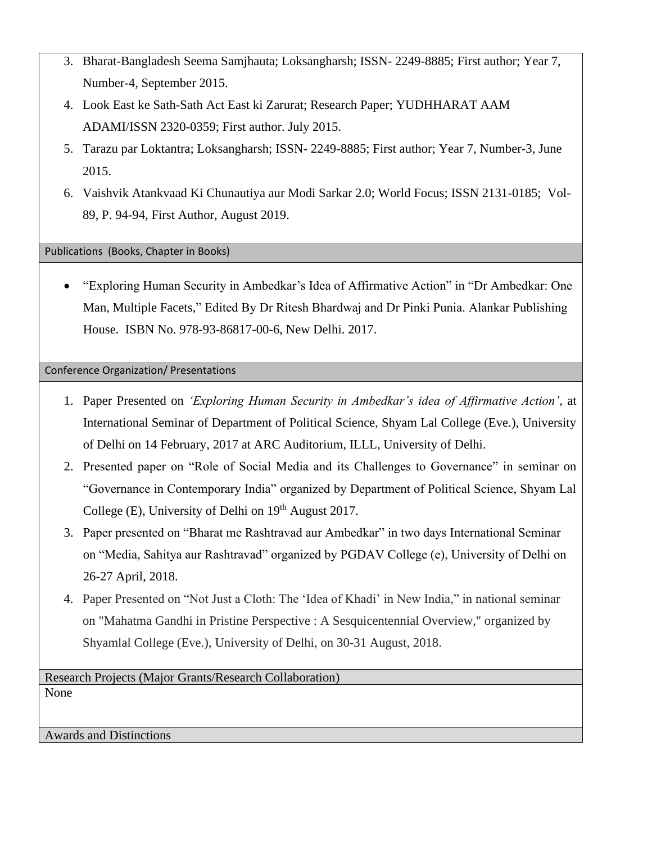- 3. Bharat-Bangladesh Seema Samjhauta; Loksangharsh; ISSN- 2249-8885; First author; Year 7, Number-4, September 2015.
- 4. Look East ke Sath-Sath Act East ki Zarurat; Research Paper; YUDHHARAT AAM ADAMI/ISSN 2320-0359; First author. July 2015.
- 5. Tarazu par Loktantra; Loksangharsh; ISSN- 2249-8885; First author; Year 7, Number-3, June 2015.
- 6. Vaishvik Atankvaad Ki Chunautiya aur Modi Sarkar 2.0; World Focus; ISSN 2131-0185; Vol-89, P. 94-94, First Author, August 2019.

Publications (Books, Chapter in Books)

• "Exploring Human Security in Ambedkar's Idea of Affirmative Action" in "Dr Ambedkar: One Man, Multiple Facets," Edited By Dr Ritesh Bhardwaj and Dr Pinki Punia. Alankar Publishing House. ISBN No. 978-93-86817-00-6, New Delhi. 2017.

Conference Organization/ Presentations

- 1. Paper Presented on *'Exploring Human Security in Ambedkar's idea of Affirmative Action'*, at International Seminar of Department of Political Science, Shyam Lal College (Eve.), University of Delhi on 14 February, 2017 at ARC Auditorium, ILLL, University of Delhi.
- 2. Presented paper on "Role of Social Media and its Challenges to Governance" in seminar on "Governance in Contemporary India" organized by Department of Political Science, Shyam Lal College (E), University of Delhi on  $19<sup>th</sup>$  August 2017.
- 3. Paper presented on "Bharat me Rashtravad aur Ambedkar" in two days International Seminar on "Media, Sahitya aur Rashtravad" organized by PGDAV College (e), University of Delhi on 26-27 April, 2018.
- 4. Paper Presented on "Not Just a Cloth: The 'Idea of Khadi' in New India," in national seminar on "Mahatma Gandhi in Pristine Perspective : A Sesquicentennial Overview," organized by Shyamlal College (Eve.), University of Delhi, on 30-31 August, 2018.

Research Projects (Major Grants/Research Collaboration) None

Awards and Distinctions